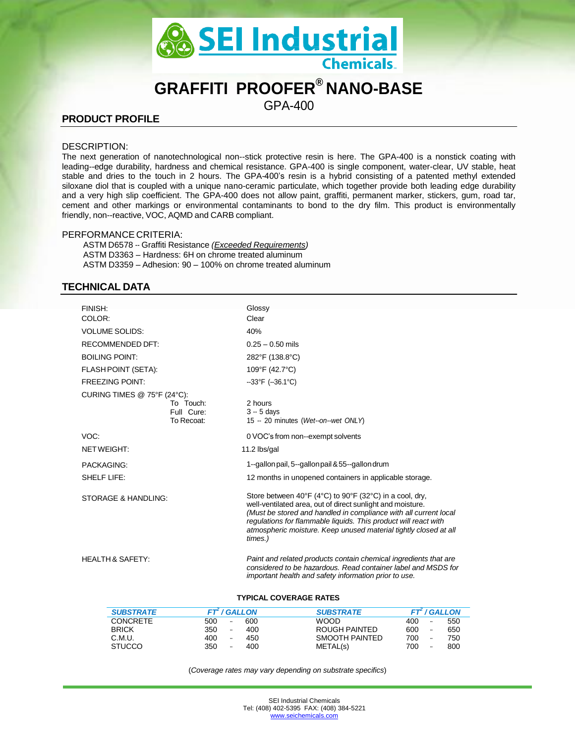

## **GRAFFITI PROOFER® NANO-BASE**

GPA-400

## **PRODUCT PROFILE**

#### DESCRIPTION:

The next generation of nanotechnological non--stick protective resin is here. The GPA-400 is a nonstick coating with leading--edge durability, hardness and chemical resistance. GPA-400 is single component, water-clear, UV stable, heat stable and dries to the touch in 2 hours. The GPA-400's resin is a hybrid consisting of a patented methyl extended siloxane diol that is coupled with a unique nano-ceramic particulate, which together provide both leading edge durability and a very high slip coefficient. The GPA-400 does not allow paint, graffiti, permanent marker, stickers, gum, road tar, cement and other markings or environmental contaminants to bond to the dry film. This product is environmentally friendly, non--reactive, VOC, AQMD and CARB compliant.

#### PERFORMANCE CRITERIA:

ASTM D6578 -- Graffiti Resistance *(Exceeded Requirements)* ASTM D3363 – Hardness: 6H on chrome treated aluminum ASTM D3359 – Adhesion: 90 – 100% on chrome treated aluminum

## **TECHNICAL DATA**

| FINISH:                     |                                       | Glossy                                                                                                                                                                                                                                                                                                                                      |                  |                                 |     |
|-----------------------------|---------------------------------------|---------------------------------------------------------------------------------------------------------------------------------------------------------------------------------------------------------------------------------------------------------------------------------------------------------------------------------------------|------------------|---------------------------------|-----|
| COLOR:                      |                                       | Clear                                                                                                                                                                                                                                                                                                                                       |                  |                                 |     |
| <b>VOLUME SOLIDS:</b>       |                                       | 40%                                                                                                                                                                                                                                                                                                                                         |                  |                                 |     |
| RECOMMENDED DFT:            |                                       | $0.25 - 0.50$ mils                                                                                                                                                                                                                                                                                                                          |                  |                                 |     |
| <b>BOILING POINT:</b>       |                                       | 282°F (138.8°C)                                                                                                                                                                                                                                                                                                                             |                  |                                 |     |
| FLASH POINT (SETA):         |                                       | 109°F (42.7°C)                                                                                                                                                                                                                                                                                                                              |                  |                                 |     |
| <b>FREEZING POINT:</b>      |                                       | $-33^{\circ}$ F ( $-36.1^{\circ}$ C)                                                                                                                                                                                                                                                                                                        |                  |                                 |     |
| CURING TIMES @ 75°F (24°C): |                                       |                                                                                                                                                                                                                                                                                                                                             |                  |                                 |     |
|                             | To Touch:<br>Full Cure:<br>To Recoat: | 2 hours<br>$3 - 5$ davs<br>15 -- 20 minutes (Wet--on--wet ONLY)                                                                                                                                                                                                                                                                             |                  |                                 |     |
| VOC:                        |                                       | 0 VOC's from non--exempt solvents                                                                                                                                                                                                                                                                                                           |                  |                                 |     |
| NETWEIGHT:                  |                                       | 11.2 lbs/gal                                                                                                                                                                                                                                                                                                                                |                  |                                 |     |
| PACKAGING:                  |                                       | 1-gallon pail, 5-gallon pail & 55-gallon drum                                                                                                                                                                                                                                                                                               |                  |                                 |     |
| SHELF LIFE:                 |                                       | 12 months in unopened containers in applicable storage.                                                                                                                                                                                                                                                                                     |                  |                                 |     |
| STORAGE & HANDLING:         |                                       | Store between 40°F (4°C) to 90°F (32°C) in a cool, dry,<br>well-ventilated area, out of direct sunlight and moisture.<br>(Must be stored and handled in compliance with all current local<br>regulations for flammable liquids. This product will react with<br>atmospheric moisture. Keep unused material tightly closed at all<br>times.) |                  |                                 |     |
| <b>HEALTH &amp; SAFETY:</b> |                                       | Paint and related products contain chemical ingredients that are<br>considered to be hazardous. Read container label and MSDS for<br>important health and safety information prior to use.<br><b>TYPICAL COVERAGE RATES</b>                                                                                                                 |                  |                                 |     |
| <b>SUBSTRATE</b>            | <b>FT</b> <sup>2</sup> / GALLON       |                                                                                                                                                                                                                                                                                                                                             | <b>SUBSTRATE</b> | <b>FT</b> <sup>2</sup> / GALLON |     |
| <b>CONCRETE</b>             | 500                                   | 600                                                                                                                                                                                                                                                                                                                                         | <b>WOOD</b>      | 400                             | 550 |
| <b>BRICK</b>                | 350                                   | 400                                                                                                                                                                                                                                                                                                                                         | ROUGH PAINTED    | 600                             | 650 |

(*Coverage rates may vary depending on substrate specifics*)

C.M.U. 400 -- 450 SMOOTH PAINTED 700 -- 750 STUCCO 350 -- 400 METAL(s) 700 -- 800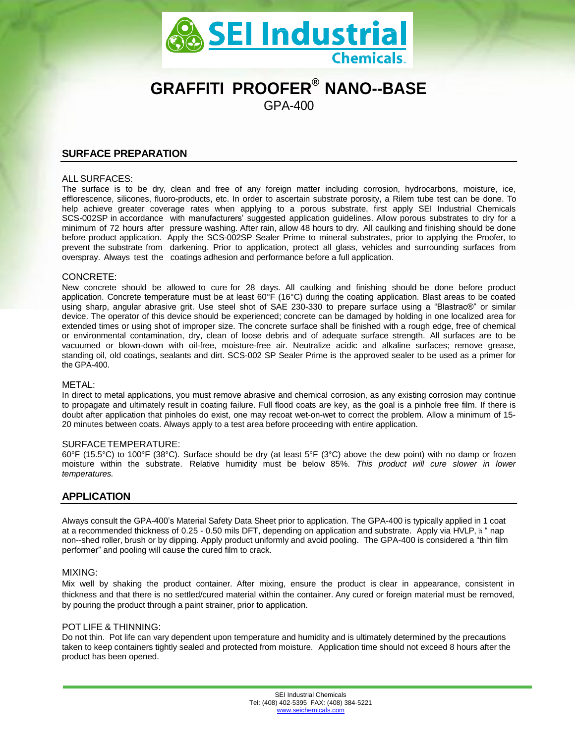

# **GRAFFITI PROOFER® NANO--BASE**

GPA-400

## **SURFACE PREPARATION**

#### ALL SURFACES:

The surface is to be dry, clean and free of any foreign matter including corrosion, hydrocarbons, moisture, ice, efflorescence, silicones, fluoro-products, etc. In order to ascertain substrate porosity, a Rilem tube test can be done. To help achieve greater coverage rates when applying to a porous substrate, first apply SEI Industrial Chemicals SCS-002SP in accordance with manufacturers' suggested application guidelines. Allow porous substrates to dry for a minimum of 72 hours after pressure washing. After rain, allow 48 hours to dry. All caulking and finishing should be done before product application. Apply the SCS-002SP Sealer Prime to mineral substrates, prior to applying the Proofer, to prevent the substrate from darkening. Prior to application, protect all glass, vehicles and surrounding surfaces from overspray. Always test the coatings adhesion and performance before a full application.

#### CONCRETE:

New concrete should be allowed to cure for 28 days. All caulking and finishing should be done before product application. Concrete temperature must be at least 60°F (16°C) during the coating application. Blast areas to be coated using sharp, angular abrasive grit. Use steel shot of SAE 230-330 to prepare surface using a "Blastrac®" or similar device. The operator of this device should be experienced; concrete can be damaged by holding in one localized area for extended times or using shot of improper size. The concrete surface shall be finished with a rough edge, free of chemical or environmental contamination, dry, clean of loose debris and of adequate surface strength. All surfaces are to be vacuumed or blown-down with oil-free, moisture-free air. Neutralize acidic and alkaline surfaces; remove grease, standing oil, old coatings, sealants and dirt. SCS-002 SP Sealer Prime is the approved sealer to be used as a primer for the GPA-400.

#### METAL:

In direct to metal applications, you must remove abrasive and chemical corrosion, as any existing corrosion may continue to propagate and ultimately result in coating failure. Full flood coats are key, as the goal is a pinhole free film. If there is doubt after application that pinholes do exist, one may recoat wet-on-wet to correct the problem. Allow a minimum of 15- 20 minutes between coats. Always apply to a test area before proceeding with entire application.

#### SURFACETEMPERATURE:

60°F (15.5°C) to 100°F (38°C). Surface should be dry (at least 5°F (3°C) above the dew point) with no damp or frozen moisture within the substrate. Relative humidity must be below 85%. *This product will cure slower in lower temperatures.*

## **APPLICATION**

Always consult the GPA-400's Material Safety Data Sheet prior to application. The GPA-400 is typically applied in 1 coat at a recommended thickness of 0.25 - 0.50 mils DFT, depending on application and substrate. Apply via HVLP, <sup>¼</sup> " nap non--shed roller, brush or by dipping. Apply product uniformly and avoid pooling. The GPA-400 is considered a "thin film performer" and pooling will cause the cured film to crack.

#### MIXING:

Mix well by shaking the product container. After mixing, ensure the product is clear in appearance, consistent in thickness and that there is no settled/cured material within the container. Any cured or foreign material must be removed, by pouring the product through a paint strainer, prior to application.

#### POT LIFE & THINNING:

Do not thin. Pot life can vary dependent upon temperature and humidity and is ultimately determined by the precautions taken to keep containers tightly sealed and protected from moisture. Application time should not exceed 8 hours after the product has been opened.